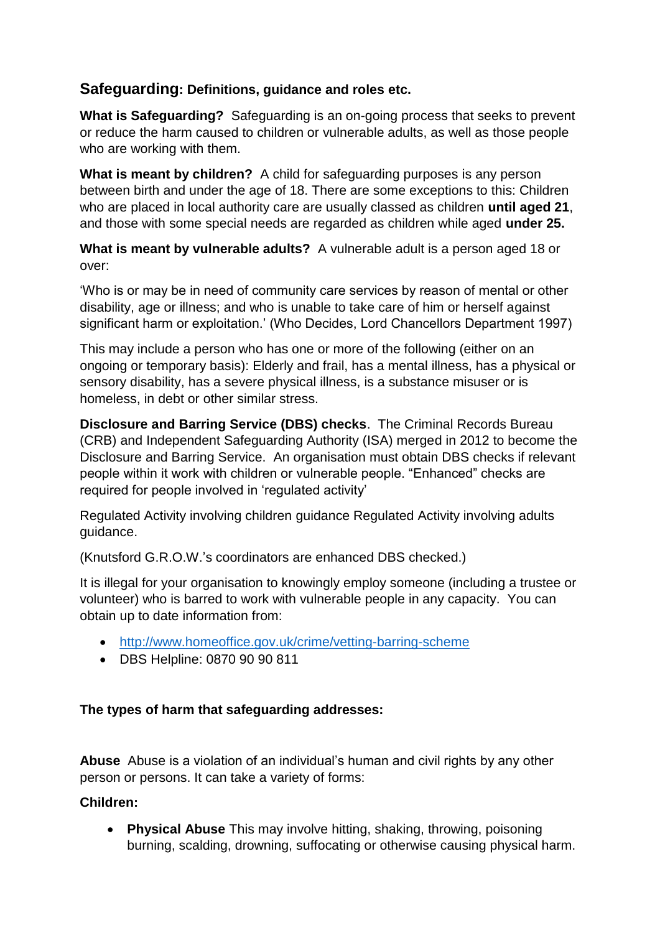# **Safeguarding: Definitions, guidance and roles etc.**

**What is Safeguarding?** Safeguarding is an on-going process that seeks to prevent or reduce the harm caused to children or vulnerable adults, as well as those people who are working with them.

**What is meant by children?** A child for safeguarding purposes is any person between birth and under the age of 18. There are some exceptions to this: Children who are placed in local authority care are usually classed as children **until aged 21**, and those with some special needs are regarded as children while aged **under 25.**

**What is meant by vulnerable adults?** A vulnerable adult is a person aged 18 or over:

'Who is or may be in need of community care services by reason of mental or other disability, age or illness; and who is unable to take care of him or herself against significant harm or exploitation.' (Who Decides, Lord Chancellors Department 1997)

This may include a person who has one or more of the following (either on an ongoing or temporary basis): Elderly and frail, has a mental illness, has a physical or sensory disability, has a severe physical illness, is a substance misuser or is homeless, in debt or other similar stress.

**Disclosure and Barring Service (DBS) checks**. The Criminal Records Bureau (CRB) and Independent Safeguarding Authority (ISA) merged in 2012 to become the Disclosure and Barring Service. An organisation must obtain DBS checks if relevant people within it work with children or vulnerable people. "Enhanced" checks are required for people involved in 'regulated activity'

Regulated Activity involving children guidance Regulated Activity involving adults guidance.

(Knutsford G.R.O.W.'s coordinators are enhanced DBS checked.)

It is illegal for your organisation to knowingly employ someone (including a trustee or volunteer) who is barred to work with vulnerable people in any capacity. You can obtain up to date information from:

- <http://www.homeoffice.gov.uk/crime/vetting-barring-scheme>
- DBS Helpline: 0870 90 90 811

## **The types of harm that safeguarding addresses:**

**Abuse** Abuse is a violation of an individual's human and civil rights by any other person or persons. It can take a variety of forms:

## **Children:**

 **Physical Abuse** This may involve hitting, shaking, throwing, poisoning burning, scalding, drowning, suffocating or otherwise causing physical harm.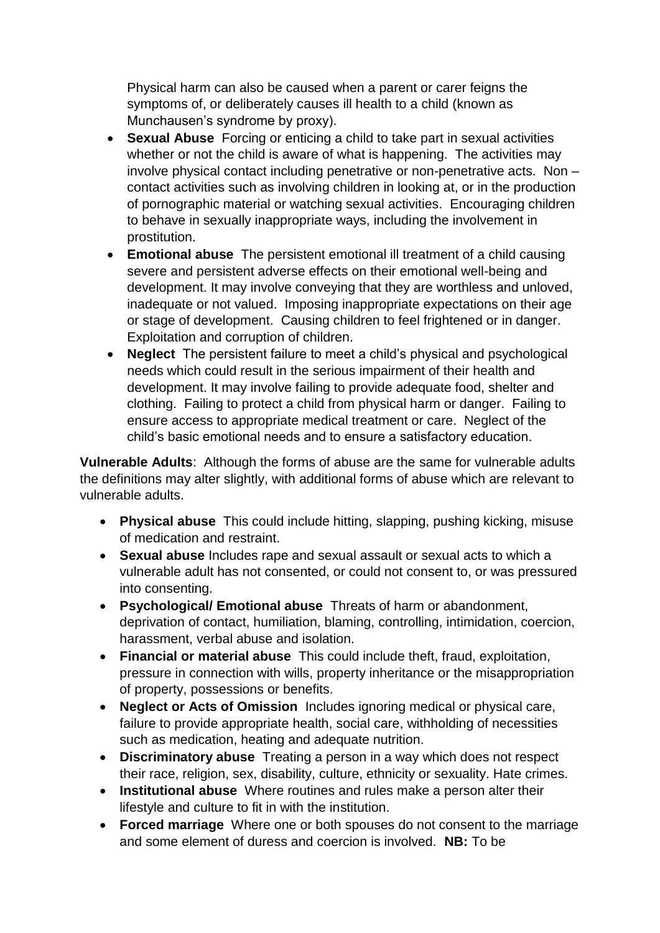Physical harm can also be caused when a parent or carer feigns the symptoms of, or deliberately causes ill health to a child (known as Munchausen's syndrome by proxy).

- **Sexual Abuse** Forcing or enticing a child to take part in sexual activities whether or not the child is aware of what is happening. The activities may involve physical contact including penetrative or non-penetrative acts. Non – contact activities such as involving children in looking at, or in the production of pornographic material or watching sexual activities. Encouraging children to behave in sexually inappropriate ways, including the involvement in prostitution.
- **Emotional abuse** The persistent emotional ill treatment of a child causing severe and persistent adverse effects on their emotional well-being and development. It may involve conveying that they are worthless and unloved, inadequate or not valued. Imposing inappropriate expectations on their age or stage of development. Causing children to feel frightened or in danger. Exploitation and corruption of children.
- **Neglect** The persistent failure to meet a child's physical and psychological needs which could result in the serious impairment of their health and development. It may involve failing to provide adequate food, shelter and clothing. Failing to protect a child from physical harm or danger. Failing to ensure access to appropriate medical treatment or care. Neglect of the child's basic emotional needs and to ensure a satisfactory education.

**Vulnerable Adults**: Although the forms of abuse are the same for vulnerable adults the definitions may alter slightly, with additional forms of abuse which are relevant to vulnerable adults.

- **Physical abuse** This could include hitting, slapping, pushing kicking, misuse of medication and restraint.
- **Sexual abuse** Includes rape and sexual assault or sexual acts to which a vulnerable adult has not consented, or could not consent to, or was pressured into consenting.
- **Psychological/ Emotional abuse** Threats of harm or abandonment, deprivation of contact, humiliation, blaming, controlling, intimidation, coercion, harassment, verbal abuse and isolation.
- **Financial or material abuse** This could include theft, fraud, exploitation, pressure in connection with wills, property inheritance or the misappropriation of property, possessions or benefits.
- **Neglect or Acts of Omission** Includes ignoring medical or physical care, failure to provide appropriate health, social care, withholding of necessities such as medication, heating and adequate nutrition.
- **Discriminatory abuse** Treating a person in a way which does not respect their race, religion, sex, disability, culture, ethnicity or sexuality. Hate crimes.
- **Institutional abuse** Where routines and rules make a person alter their lifestyle and culture to fit in with the institution.
- **Forced marriage** Where one or both spouses do not consent to the marriage and some element of duress and coercion is involved. **NB:** To be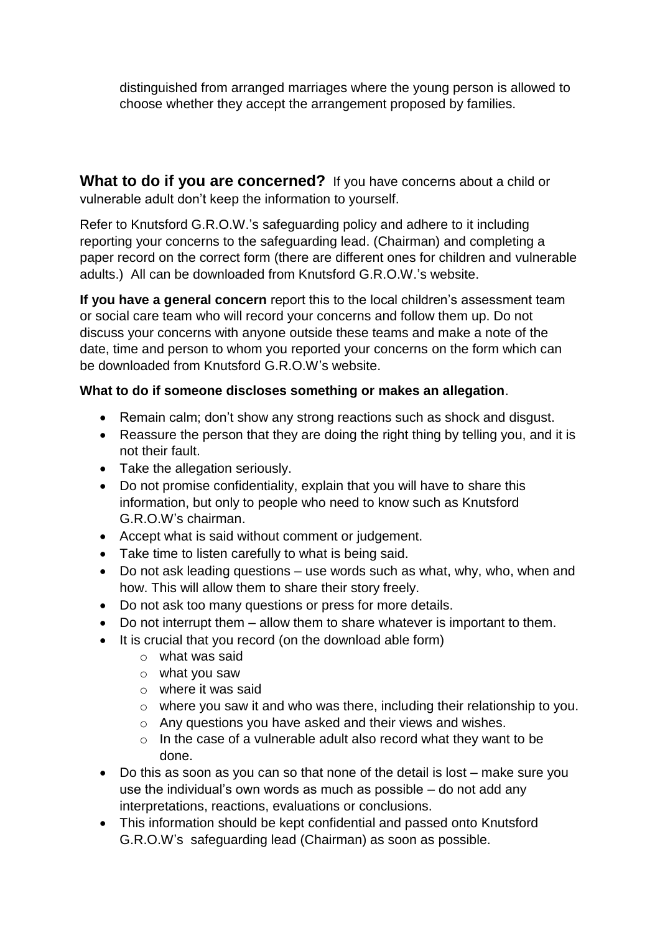distinguished from arranged marriages where the young person is allowed to choose whether they accept the arrangement proposed by families.

**What to do if you are concerned?** If you have concerns about a child or vulnerable adult don't keep the information to yourself.

Refer to Knutsford G.R.O.W.'s safeguarding policy and adhere to it including reporting your concerns to the safeguarding lead. (Chairman) and completing a paper record on the correct form (there are different ones for children and vulnerable adults.) All can be downloaded from Knutsford G.R.O.W.'s website.

**If you have a general concern** report this to the local children's assessment team or social care team who will record your concerns and follow them up. Do not discuss your concerns with anyone outside these teams and make a note of the date, time and person to whom you reported your concerns on the form which can be downloaded from Knutsford G.R.O.W's website.

## **What to do if someone discloses something or makes an allegation**.

- Remain calm; don't show any strong reactions such as shock and disgust.
- Reassure the person that they are doing the right thing by telling you, and it is not their fault.
- Take the allegation seriously.
- Do not promise confidentiality, explain that you will have to share this information, but only to people who need to know such as Knutsford G.R.O.W's chairman.
- Accept what is said without comment or judgement.
- Take time to listen carefully to what is being said.
- Do not ask leading questions use words such as what, why, who, when and how. This will allow them to share their story freely.
- Do not ask too many questions or press for more details.
- Do not interrupt them allow them to share whatever is important to them.
- It is crucial that you record (on the download able form)
	- o what was said
	- o what you saw
	- o where it was said
	- o where you saw it and who was there, including their relationship to you.
	- o Any questions you have asked and their views and wishes.
	- o In the case of a vulnerable adult also record what they want to be done.
- Do this as soon as you can so that none of the detail is lost make sure you use the individual's own words as much as possible – do not add any interpretations, reactions, evaluations or conclusions.
- This information should be kept confidential and passed onto Knutsford G.R.O.W's safeguarding lead (Chairman) as soon as possible.